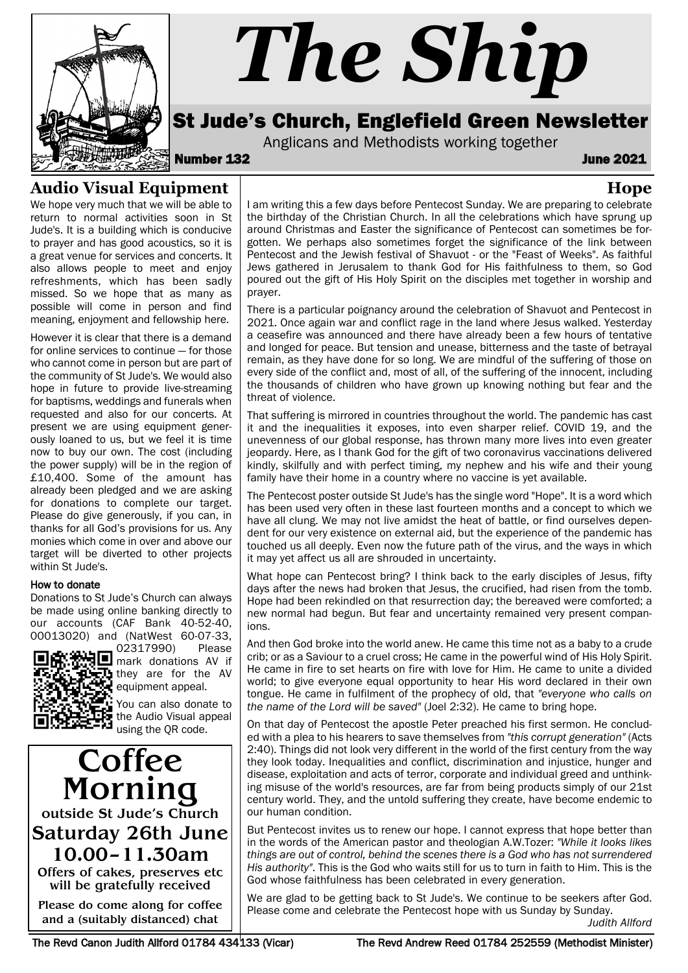

# *The Ship*

St Jude's Church, Englefield Green Newsletter

Anglicans and Methodists working together<br>**132 June 2021** 

**Hope**

# **Audio Visual Equipment**

We hope very much that we will be able to return to normal activities soon in St Jude's. It is a building which is conducive to prayer and has good acoustics, so it is a great venue for services and concerts. It also allows people to meet and enjoy refreshments, which has been sadly missed. So we hope that as many as possible will come in person and find meaning, enjoyment and fellowship here.

However it is clear that there is a demand for online services to continue — for those who cannot come in person but are part of the community of St Jude's. We would also hope in future to provide live-streaming for baptisms, weddings and funerals when requested and also for our concerts. At present we are using equipment generously loaned to us, but we feel it is time now to buy our own. The cost (including the power supply) will be in the region of £10,400. Some of the amount has already been pledged and we are asking for donations to complete our target. Please do give generously, if you can, in thanks for all God's provisions for us. Any monies which come in over and above our target will be diverted to other projects within St Jude's.

#### How to donate

Donations to St Jude's Church can always be made using online banking directly to our accounts (CAF Bank 40-52-40, 00013020) and (NatWest 60-07-33,



02317990) Please mark donations AV if they are for the AV equipment appeal.

You can also donate to the Audio Visual appeal using the QR code.

**Coffee** Morning outside St Jude's Church Saturday 26th June 10.00–11.30am

Offers of cakes, preserves etc will be gratefully received

Please do come along for coffee and a (suitably distanced) chat

I am writing this a few days before Pentecost Sunday. We are preparing to celebrate the birthday of the Christian Church. In all the celebrations which have sprung up around Christmas and Easter the significance of Pentecost can sometimes be forgotten. We perhaps also sometimes forget the significance of the link between Pentecost and the Jewish festival of Shavuot - or the "Feast of Weeks". As faithful Jews gathered in Jerusalem to thank God for His faithfulness to them, so God poured out the gift of His Holy Spirit on the disciples met together in worship and prayer.

There is a particular poignancy around the celebration of Shavuot and Pentecost in 2021. Once again war and conflict rage in the land where Jesus walked. Yesterday a ceasefire was announced and there have already been a few hours of tentative and longed for peace. But tension and unease, bitterness and the taste of betrayal remain, as they have done for so long. We are mindful of the suffering of those on every side of the conflict and, most of all, of the suffering of the innocent, including the thousands of children who have grown up knowing nothing but fear and the threat of violence.

That suffering is mirrored in countries throughout the world. The pandemic has cast it and the inequalities it exposes, into even sharper relief. COVID 19, and the unevenness of our global response, has thrown many more lives into even greater jeopardy. Here, as I thank God for the gift of two coronavirus vaccinations delivered kindly, skilfully and with perfect timing, my nephew and his wife and their young family have their home in a country where no vaccine is yet available.

The Pentecost poster outside St Jude's has the single word "Hope". It is a word which has been used very often in these last fourteen months and a concept to which we have all clung. We may not live amidst the heat of battle, or find ourselves dependent for our very existence on external aid, but the experience of the pandemic has touched us all deeply. Even now the future path of the virus, and the ways in which it may yet affect us all are shrouded in uncertainty.

What hope can Pentecost bring? I think back to the early disciples of Jesus, fifty days after the news had broken that Jesus, the crucified, had risen from the tomb. Hope had been rekindled on that resurrection day; the bereaved were comforted; a new normal had begun. But fear and uncertainty remained very present companions.

And then God broke into the world anew. He came this time not as a baby to a crude crib; or as a Saviour to a cruel cross; He came in the powerful wind of His Holy Spirit. He came in fire to set hearts on fire with love for Him. He came to unite a divided world; to give everyone equal opportunity to hear His word declared in their own tongue. He came in fulfilment of the prophecy of old, that *"everyone who calls on the name of the Lord will be saved"* (Joel 2:32). He came to bring hope.

On that day of Pentecost the apostle Peter preached his first sermon. He concluded with a plea to his hearers to save themselves from *"this corrupt generation"* (Acts 2:40). Things did not look very different in the world of the first century from the way they look today. Inequalities and conflict, discrimination and injustice, hunger and disease, exploitation and acts of terror, corporate and individual greed and unthinking misuse of the world's resources, are far from being products simply of our 21st century world. They, and the untold suffering they create, have become endemic to our human condition.

But Pentecost invites us to renew our hope. I cannot express that hope better than in the words of the American pastor and theologian A.W.Tozer: *"While it looks likes things are out of control, behind the scenes there is a God who has not surrendered His authority"*. This is the God who waits still for us to turn in faith to Him. This is the God whose faithfulness has been celebrated in every generation.

We are glad to be getting back to St Jude's. We continue to be seekers after God. Please come and celebrate the Pentecost hope with us Sunday by Sunday.

*Judith Allford*